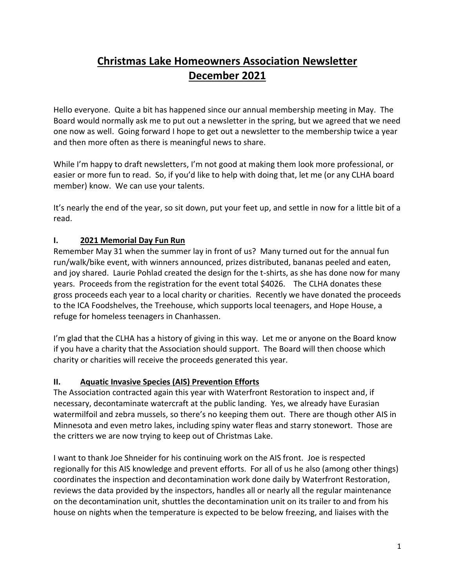# **Christmas Lake Homeowners Association Newsletter December 2021**

Hello everyone. Quite a bit has happened since our annual membership meeting in May. The Board would normally ask me to put out a newsletter in the spring, but we agreed that we need one now as well. Going forward I hope to get out a newsletter to the membership twice a year and then more often as there is meaningful news to share.

While I'm happy to draft newsletters, I'm not good at making them look more professional, or easier or more fun to read. So, if you'd like to help with doing that, let me (or any CLHA board member) know. We can use your talents.

It's nearly the end of the year, so sit down, put your feet up, and settle in now for a little bit of a read.

# **I. 2021 Memorial Day Fun Run**

Remember May 31 when the summer lay in front of us? Many turned out for the annual fun run/walk/bike event, with winners announced, prizes distributed, bananas peeled and eaten, and joy shared. Laurie Pohlad created the design for the t-shirts, as she has done now for many years. Proceeds from the registration for the event total \$4026. The CLHA donates these gross proceeds each year to a local charity or charities. Recently we have donated the proceeds to the ICA Foodshelves, the Treehouse, which supports local teenagers, and Hope House, a refuge for homeless teenagers in Chanhassen.

I'm glad that the CLHA has a history of giving in this way. Let me or anyone on the Board know if you have a charity that the Association should support. The Board will then choose which charity or charities will receive the proceeds generated this year.

# **II. Aquatic Invasive Species (AIS) Prevention Efforts**

The Association contracted again this year with Waterfront Restoration to inspect and, if necessary, decontaminate watercraft at the public landing. Yes, we already have Eurasian watermilfoil and zebra mussels, so there's no keeping them out. There are though other AIS in Minnesota and even metro lakes, including spiny water fleas and starry stonewort. Those are the critters we are now trying to keep out of Christmas Lake.

I want to thank Joe Shneider for his continuing work on the AIS front. Joe is respected regionally for this AIS knowledge and prevent efforts. For all of us he also (among other things) coordinates the inspection and decontamination work done daily by Waterfront Restoration, reviews the data provided by the inspectors, handles all or nearly all the regular maintenance on the decontamination unit, shuttles the decontamination unit on its trailer to and from his house on nights when the temperature is expected to be below freezing, and liaises with the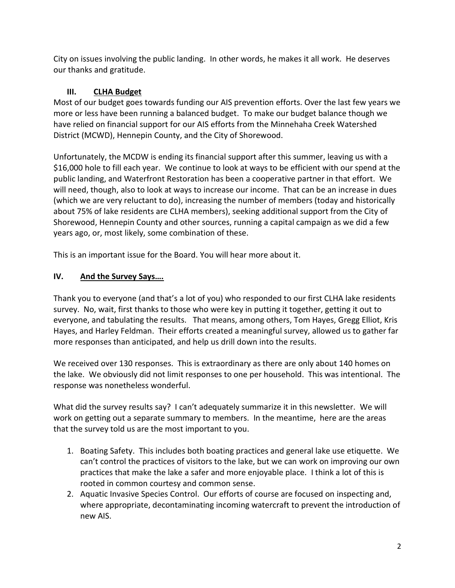City on issues involving the public landing. In other words, he makes it all work. He deserves our thanks and gratitude.

# **III. CLHA Budget**

Most of our budget goes towards funding our AIS prevention efforts. Over the last few years we more or less have been running a balanced budget. To make our budget balance though we have relied on financial support for our AIS efforts from the Minnehaha Creek Watershed District (MCWD), Hennepin County, and the City of Shorewood.

Unfortunately, the MCDW is ending its financial support after this summer, leaving us with a \$16,000 hole to fill each year. We continue to look at ways to be efficient with our spend at the public landing, and Waterfront Restoration has been a cooperative partner in that effort. We will need, though, also to look at ways to increase our income. That can be an increase in dues (which we are very reluctant to do), increasing the number of members (today and historically about 75% of lake residents are CLHA members), seeking additional support from the City of Shorewood, Hennepin County and other sources, running a capital campaign as we did a few years ago, or, most likely, some combination of these.

This is an important issue for the Board. You will hear more about it.

# **IV. And the Survey Says….**

Thank you to everyone (and that's a lot of you) who responded to our first CLHA lake residents survey. No, wait, first thanks to those who were key in putting it together, getting it out to everyone, and tabulating the results. That means, among others, Tom Hayes, Gregg Elliot, Kris Hayes, and Harley Feldman. Their efforts created a meaningful survey, allowed us to gather far more responses than anticipated, and help us drill down into the results.

We received over 130 responses. This is extraordinary as there are only about 140 homes on the lake. We obviously did not limit responses to one per household. This was intentional. The response was nonetheless wonderful.

What did the survey results say? I can't adequately summarize it in this newsletter. We will work on getting out a separate summary to members. In the meantime, here are the areas that the survey told us are the most important to you.

- 1. Boating Safety. This includes both boating practices and general lake use etiquette. We can't control the practices of visitors to the lake, but we can work on improving our own practices that make the lake a safer and more enjoyable place. I think a lot of this is rooted in common courtesy and common sense.
- 2. Aquatic Invasive Species Control. Our efforts of course are focused on inspecting and, where appropriate, decontaminating incoming watercraft to prevent the introduction of new AIS.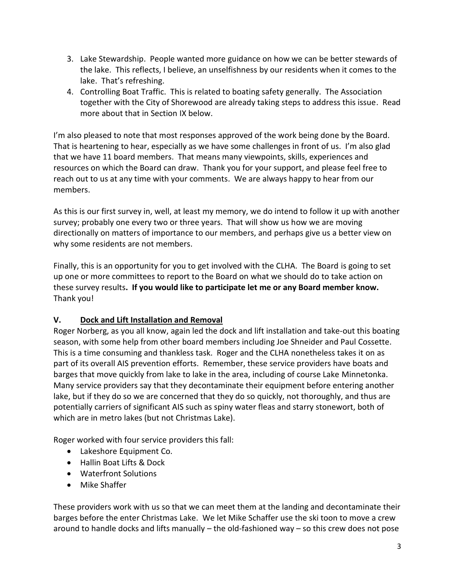- 3. Lake Stewardship. People wanted more guidance on how we can be better stewards of the lake. This reflects, I believe, an unselfishness by our residents when it comes to the lake. That's refreshing.
- 4. Controlling Boat Traffic. This is related to boating safety generally. The Association together with the City of Shorewood are already taking steps to address this issue. Read more about that in Section IX below.

I'm also pleased to note that most responses approved of the work being done by the Board. That is heartening to hear, especially as we have some challenges in front of us. I'm also glad that we have 11 board members. That means many viewpoints, skills, experiences and resources on which the Board can draw. Thank you for your support, and please feel free to reach out to us at any time with your comments. We are always happy to hear from our members.

As this is our first survey in, well, at least my memory, we do intend to follow it up with another survey; probably one every two or three years. That will show us how we are moving directionally on matters of importance to our members, and perhaps give us a better view on why some residents are not members.

Finally, this is an opportunity for you to get involved with the CLHA. The Board is going to set up one or more committees to report to the Board on what we should do to take action on these survey results**. If you would like to participate let me or any Board member know.** Thank you!

# **V. Dock and Lift Installation and Removal**

Roger Norberg, as you all know, again led the dock and lift installation and take-out this boating season, with some help from other board members including Joe Shneider and Paul Cossette. This is a time consuming and thankless task. Roger and the CLHA nonetheless takes it on as part of its overall AIS prevention efforts. Remember, these service providers have boats and barges that move quickly from lake to lake in the area, including of course Lake Minnetonka. Many service providers say that they decontaminate their equipment before entering another lake, but if they do so we are concerned that they do so quickly, not thoroughly, and thus are potentially carriers of significant AIS such as spiny water fleas and starry stonewort, both of which are in metro lakes (but not Christmas Lake).

Roger worked with four service providers this fall:

- Lakeshore Equipment Co.
- Hallin Boat Lifts & Dock
- Waterfront Solutions
- Mike Shaffer

These providers work with us so that we can meet them at the landing and decontaminate their barges before the enter Christmas Lake. We let Mike Schaffer use the ski toon to move a crew around to handle docks and lifts manually – the old-fashioned way – so this crew does not pose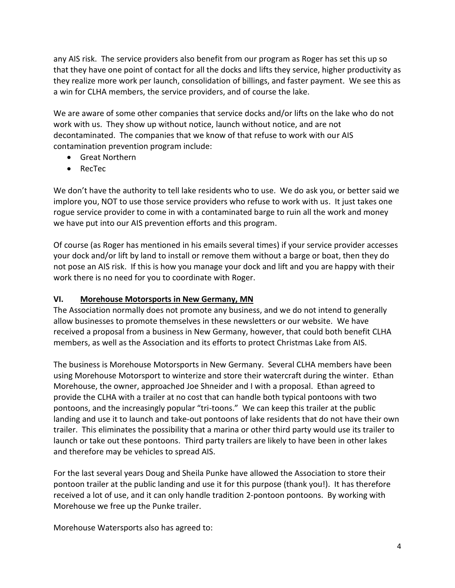any AIS risk. The service providers also benefit from our program as Roger has set this up so that they have one point of contact for all the docks and lifts they service, higher productivity as they realize more work per launch, consolidation of billings, and faster payment. We see this as a win for CLHA members, the service providers, and of course the lake.

We are aware of some other companies that service docks and/or lifts on the lake who do not work with us. They show up without notice, launch without notice, and are not decontaminated. The companies that we know of that refuse to work with our AIS contamination prevention program include:

- Great Northern
- RecTec

We don't have the authority to tell lake residents who to use. We do ask you, or better said we implore you, NOT to use those service providers who refuse to work with us. It just takes one rogue service provider to come in with a contaminated barge to ruin all the work and money we have put into our AIS prevention efforts and this program.

Of course (as Roger has mentioned in his emails several times) if your service provider accesses your dock and/or lift by land to install or remove them without a barge or boat, then they do not pose an AIS risk. If this is how you manage your dock and lift and you are happy with their work there is no need for you to coordinate with Roger.

### **VI. Morehouse Motorsports in New Germany, MN**

The Association normally does not promote any business, and we do not intend to generally allow businesses to promote themselves in these newsletters or our website. We have received a proposal from a business in New Germany, however, that could both benefit CLHA members, as well as the Association and its efforts to protect Christmas Lake from AIS.

The business is Morehouse Motorsports in New Germany. Several CLHA members have been using Morehouse Motorsport to winterize and store their watercraft during the winter. Ethan Morehouse, the owner, approached Joe Shneider and I with a proposal. Ethan agreed to provide the CLHA with a trailer at no cost that can handle both typical pontoons with two pontoons, and the increasingly popular "tri-toons." We can keep this trailer at the public landing and use it to launch and take-out pontoons of lake residents that do not have their own trailer. This eliminates the possibility that a marina or other third party would use its trailer to launch or take out these pontoons. Third party trailers are likely to have been in other lakes and therefore may be vehicles to spread AIS.

For the last several years Doug and Sheila Punke have allowed the Association to store their pontoon trailer at the public landing and use it for this purpose (thank you!). It has therefore received a lot of use, and it can only handle tradition 2-pontoon pontoons. By working with Morehouse we free up the Punke trailer.

Morehouse Watersports also has agreed to: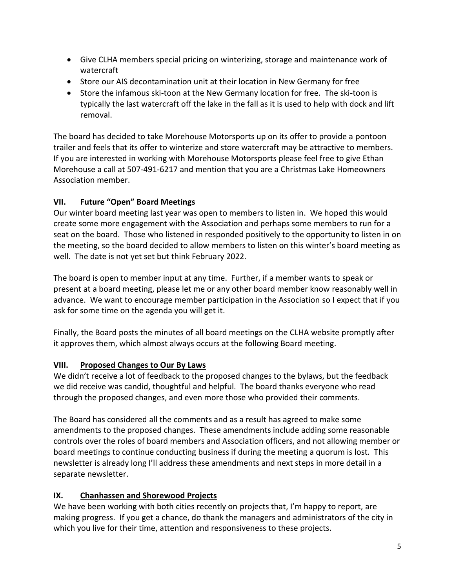- Give CLHA members special pricing on winterizing, storage and maintenance work of watercraft
- Store our AIS decontamination unit at their location in New Germany for free
- Store the infamous ski-toon at the New Germany location for free. The ski-toon is typically the last watercraft off the lake in the fall as it is used to help with dock and lift removal.

The board has decided to take Morehouse Motorsports up on its offer to provide a pontoon trailer and feels that its offer to winterize and store watercraft may be attractive to members. If you are interested in working with Morehouse Motorsports please feel free to give Ethan Morehouse a call at 507-491-6217 and mention that you are a Christmas Lake Homeowners Association member.

# **VII. Future "Open" Board Meetings**

Our winter board meeting last year was open to members to listen in. We hoped this would create some more engagement with the Association and perhaps some members to run for a seat on the board. Those who listened in responded positively to the opportunity to listen in on the meeting, so the board decided to allow members to listen on this winter's board meeting as well. The date is not yet set but think February 2022.

The board is open to member input at any time. Further, if a member wants to speak or present at a board meeting, please let me or any other board member know reasonably well in advance. We want to encourage member participation in the Association so I expect that if you ask for some time on the agenda you will get it.

Finally, the Board posts the minutes of all board meetings on the CLHA website promptly after it approves them, which almost always occurs at the following Board meeting.

# **VIII. Proposed Changes to Our By Laws**

We didn't receive a lot of feedback to the proposed changes to the bylaws, but the feedback we did receive was candid, thoughtful and helpful. The board thanks everyone who read through the proposed changes, and even more those who provided their comments.

The Board has considered all the comments and as a result has agreed to make some amendments to the proposed changes. These amendments include adding some reasonable controls over the roles of board members and Association officers, and not allowing member or board meetings to continue conducting business if during the meeting a quorum is lost. This newsletter is already long I'll address these amendments and next steps in more detail in a separate newsletter.

# **IX. Chanhassen and Shorewood Projects**

We have been working with both cities recently on projects that, I'm happy to report, are making progress. If you get a chance, do thank the managers and administrators of the city in which you live for their time, attention and responsiveness to these projects.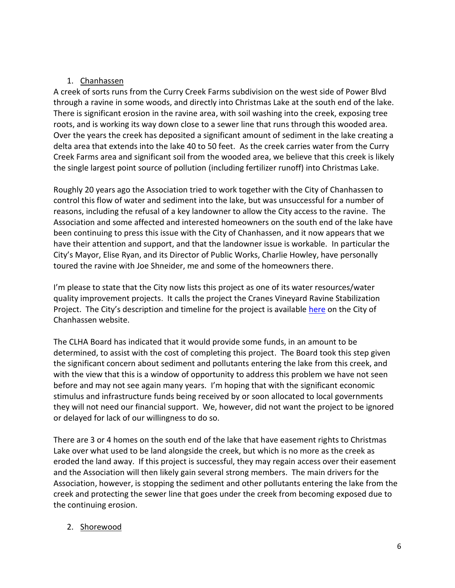### 1. Chanhassen

A creek of sorts runs from the Curry Creek Farms subdivision on the west side of Power Blvd through a ravine in some woods, and directly into Christmas Lake at the south end of the lake. There is significant erosion in the ravine area, with soil washing into the creek, exposing tree roots, and is working its way down close to a sewer line that runs through this wooded area. Over the years the creek has deposited a significant amount of sediment in the lake creating a delta area that extends into the lake 40 to 50 feet. As the creek carries water from the Curry Creek Farms area and significant soil from the wooded area, we believe that this creek is likely the single largest point source of pollution (including fertilizer runoff) into Christmas Lake.

Roughly 20 years ago the Association tried to work together with the City of Chanhassen to control this flow of water and sediment into the lake, but was unsuccessful for a number of reasons, including the refusal of a key landowner to allow the City access to the ravine. The Association and some affected and interested homeowners on the south end of the lake have been continuing to press this issue with the City of Chanhassen, and it now appears that we have their attention and support, and that the landowner issue is workable. In particular the City's Mayor, Elise Ryan, and its Director of Public Works, Charlie Howley, have personally toured the ravine with Joe Shneider, me and some of the homeowners there.

I'm please to state that the City now lists this project as one of its water resources/water quality improvement projects. It calls the project the Cranes Vineyard Ravine Stabilization Project. The City's description and timeline for the project is available [here](https://ci.chanhassen.mn.us/1728/Cranes-Vineyard-Ravine-Stabilization-Pro) on the City of Chanhassen website.

The CLHA Board has indicated that it would provide some funds, in an amount to be determined, to assist with the cost of completing this project. The Board took this step given the significant concern about sediment and pollutants entering the lake from this creek, and with the view that this is a window of opportunity to address this problem we have not seen before and may not see again many years. I'm hoping that with the significant economic stimulus and infrastructure funds being received by or soon allocated to local governments they will not need our financial support. We, however, did not want the project to be ignored or delayed for lack of our willingness to do so.

There are 3 or 4 homes on the south end of the lake that have easement rights to Christmas Lake over what used to be land alongside the creek, but which is no more as the creek as eroded the land away. If this project is successful, they may regain access over their easement and the Association will then likely gain several strong members. The main drivers for the Association, however, is stopping the sediment and other pollutants entering the lake from the creek and protecting the sewer line that goes under the creek from becoming exposed due to the continuing erosion.

# 2. Shorewood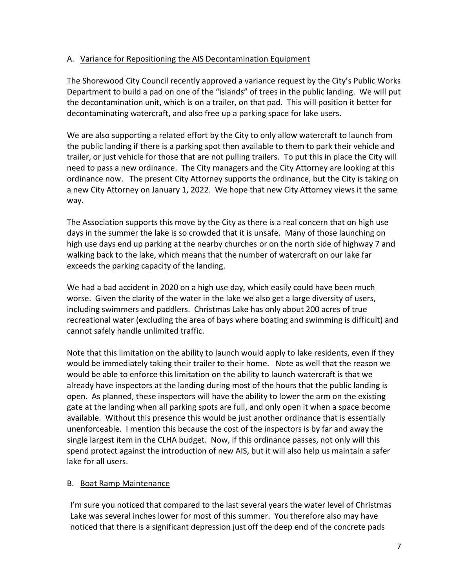### A. Variance for Repositioning the AIS Decontamination Equipment

The Shorewood City Council recently approved a variance request by the City's Public Works Department to build a pad on one of the "islands" of trees in the public landing. We will put the decontamination unit, which is on a trailer, on that pad. This will position it better for decontaminating watercraft, and also free up a parking space for lake users.

We are also supporting a related effort by the City to only allow watercraft to launch from the public landing if there is a parking spot then available to them to park their vehicle and trailer, or just vehicle for those that are not pulling trailers. To put this in place the City will need to pass a new ordinance. The City managers and the City Attorney are looking at this ordinance now. The present City Attorney supports the ordinance, but the City is taking on a new City Attorney on January 1, 2022. We hope that new City Attorney views it the same way.

The Association supports this move by the City as there is a real concern that on high use days in the summer the lake is so crowded that it is unsafe. Many of those launching on high use days end up parking at the nearby churches or on the north side of highway 7 and walking back to the lake, which means that the number of watercraft on our lake far exceeds the parking capacity of the landing.

We had a bad accident in 2020 on a high use day, which easily could have been much worse. Given the clarity of the water in the lake we also get a large diversity of users, including swimmers and paddlers. Christmas Lake has only about 200 acres of true recreational water (excluding the area of bays where boating and swimming is difficult) and cannot safely handle unlimited traffic.

Note that this limitation on the ability to launch would apply to lake residents, even if they would be immediately taking their trailer to their home. Note as well that the reason we would be able to enforce this limitation on the ability to launch watercraft is that we already have inspectors at the landing during most of the hours that the public landing is open. As planned, these inspectors will have the ability to lower the arm on the existing gate at the landing when all parking spots are full, and only open it when a space become available. Without this presence this would be just another ordinance that is essentially unenforceable. I mention this because the cost of the inspectors is by far and away the single largest item in the CLHA budget. Now, if this ordinance passes, not only will this spend protect against the introduction of new AIS, but it will also help us maintain a safer lake for all users.

### B. Boat Ramp Maintenance

I'm sure you noticed that compared to the last several years the water level of Christmas Lake was several inches lower for most of this summer. You therefore also may have noticed that there is a significant depression just off the deep end of the concrete pads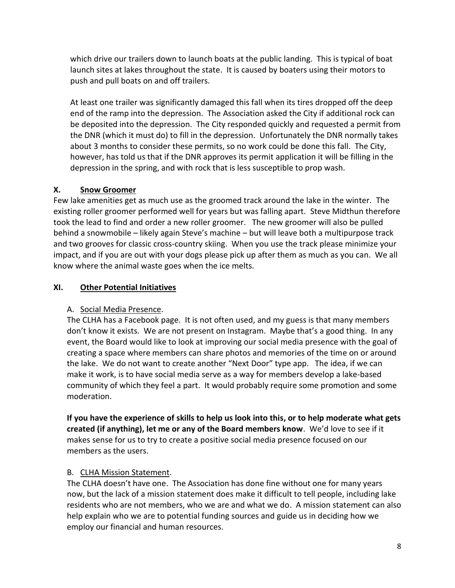which drive our trailers down to launch boats at the public landing. This is typical of boat launch sites at lakes throughout the state. It is caused by boaters using their motors to push and pull boats on and off trailers.

At least one trailer was significantly damaged this fall when its tires dropped off the deep end of the ramp into the depression. The Association asked the City if additional rock can be deposited into the depression. The City responded quickly and requested a permit from the DNR (which it must do) to fill in the depression. Unfortunately the DNR normally takes about 3 months to consider these permits, so no work could be done this fall. The City, however, has told us that if the DNR approves its permit application it will be filling in the depression in the spring, and with rock that is less susceptible to prop wash.

### **X. Snow Groomer**

Few lake amenities get as much use as the groomed track around the lake in the winter. The existing roller groomer performed well for years but was falling apart. Steve Midthun therefore took the lead to find and order a new roller groomer. The new groomer will also be pulled behind a snowmobile – likely again Steve's machine – but will leave both a multipurpose track and two grooves for classic cross-country skiing. When you use the track please minimize your impact, and if you are out with your dogs please pick up after them as much as you can. We all know where the animal waste goes when the ice melts.

### **XI. Other Potential Initiatives**

### A. Social Media Presence.

The CLHA has a Facebook page. It is not often used, and my guess is that many members don't know it exists. We are not present on Instagram. Maybe that's a good thing. In any event, the Board would like to look at improving our social media presence with the goal of creating a space where members can share photos and memories of the time on or around the lake. We do not want to create another "Next Door" type app. The idea, if we can make it work, is to have social media serve as a way for members develop a lake-based community of which they feel a part. It would probably require some promotion and some moderation.

**If you have the experience of skills to help us look into this, or to help moderate what gets created (if anything), let me or any of the Board members know**. We'd love to see if it makes sense for us to try to create a positive social media presence focused on our members as the users.

### B. CLHA Mission Statement.

The CLHA doesn't have one. The Association has done fine without one for many years now, but the lack of a mission statement does make it difficult to tell people, including lake residents who are not members, who we are and what we do. A mission statement can also help explain who we are to potential funding sources and guide us in deciding how we employ our financial and human resources.